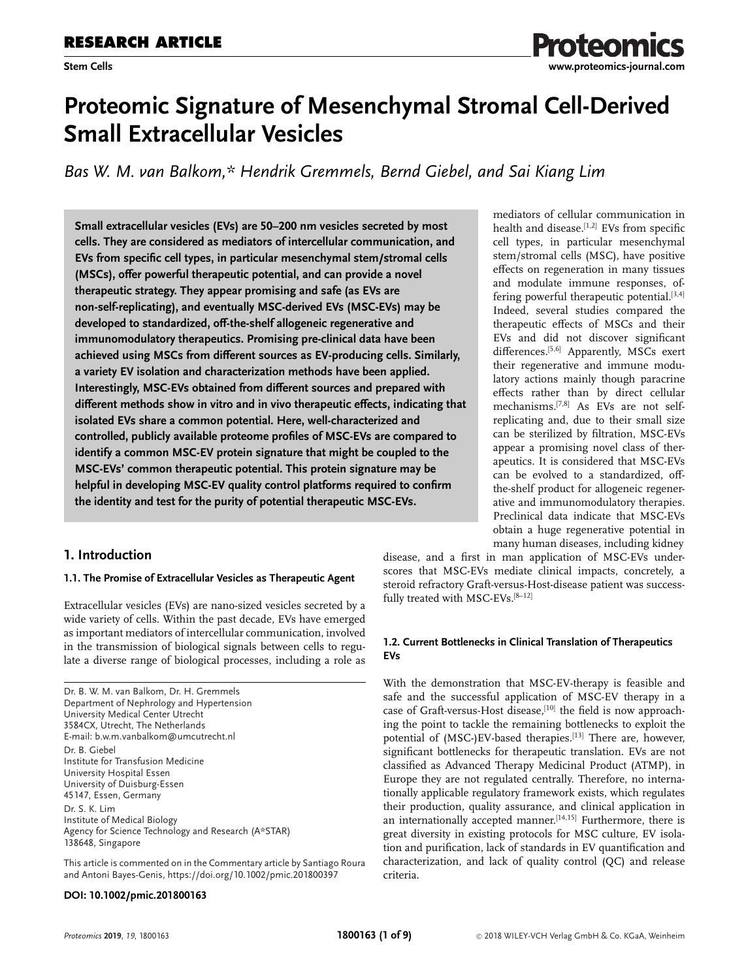# **Proteomic Signature of Mesenchymal Stromal Cell-Derived Small Extracellular Vesicles**

*Bas W. M. van Balkom,\* Hendrik Gremmels, Bernd Giebel, and Sai Kiang Lim*

**Small extracellular vesicles (EVs) are 50–200 nm vesicles secreted by most cells. They are considered as mediators of intercellular communication, and EVs from specific cell types, in particular mesenchymal stem/stromal cells (MSCs), offer powerful therapeutic potential, and can provide a novel therapeutic strategy. They appear promising and safe (as EVs are non-self-replicating), and eventually MSC-derived EVs (MSC-EVs) may be developed to standardized, off-the-shelf allogeneic regenerative and immunomodulatory therapeutics. Promising pre-clinical data have been achieved using MSCs from different sources as EV-producing cells. Similarly, a variety EV isolation and characterization methods have been applied. Interestingly, MSC-EVs obtained from different sources and prepared with different methods show in vitro and in vivo therapeutic effects, indicating that isolated EVs share a common potential. Here, well-characterized and controlled, publicly available proteome profiles of MSC-EVs are compared to identify a common MSC-EV protein signature that might be coupled to the MSC-EVs' common therapeutic potential. This protein signature may be helpful in developing MSC-EV quality control platforms required to confirm the identity and test for the purity of potential therapeutic MSC-EVs.**

# **1. Introduction**

# **1.1. The Promise of Extracellular Vesicles as Therapeutic Agent**

Extracellular vesicles (EVs) are nano-sized vesicles secreted by a wide variety of cells. Within the past decade, EVs have emerged as important mediators of intercellular communication, involved in the transmission of biological signals between cells to regulate a diverse range of biological processes, including a role as

Dr. B. W. M. van Balkom, Dr. H. Gremmels Department of Nephrology and Hypertension University Medical Center Utrecht 3584CX, Utrecht, The Netherlands E-mail: [b.w.m.vanbalkom@umcutrecht.nl](mailto:b.w.m.vanbalkom@umcutrecht.nl) Dr. B. Giebel Institute for Transfusion Medicine University Hospital Essen University of Duisburg-Essen 45147, Essen, Germany Dr. S. K. Lim Institute of Medical Biology Agency for Science Technology and Research (A\*STAR) 138648, Singapore

This article is commented on in the Commentary article by Santiago Roura and Antoni Bayes-Genis,<https://doi.org/10.1002/pmic.201800397>

#### **DOI: 10.1002/pmic.201800163**

mediators of cellular communication in health and disease. $[1,2]$  EVs from specific cell types, in particular mesenchymal stem/stromal cells (MSC), have positive effects on regeneration in many tissues and modulate immune responses, offering powerful therapeutic potential.<sup>[3,4]</sup> Indeed, several studies compared the therapeutic effects of MSCs and their EVs and did not discover significant differences.<sup>[5,6]</sup> Apparently, MSCs exert their regenerative and immune modulatory actions mainly though paracrine effects rather than by direct cellular mechanisms.[7,8] As EVs are not selfreplicating and, due to their small size can be sterilized by filtration, MSC-EVs appear a promising novel class of therapeutics. It is considered that MSC-EVs can be evolved to a standardized, offthe-shelf product for allogeneic regenerative and immunomodulatory therapies. Preclinical data indicate that MSC-EVs obtain a huge regenerative potential in many human diseases, including kidney

roteon

disease, and a first in man application of MSC-EVs underscores that MSC-EVs mediate clinical impacts, concretely, a steroid refractory Graft-versus-Host-disease patient was successfully treated with MSC-EVs.[8–12]

### **1.2. Current Bottlenecks in Clinical Translation of Therapeutics EVs**

With the demonstration that MSC-EV-therapy is feasible and safe and the successful application of MSC-EV therapy in a case of Graft-versus-Host disease, $[10]$  the field is now approaching the point to tackle the remaining bottlenecks to exploit the potential of (MSC-)EV-based therapies.<sup>[13]</sup> There are, however, significant bottlenecks for therapeutic translation. EVs are not classified as Advanced Therapy Medicinal Product (ATMP), in Europe they are not regulated centrally. Therefore, no internationally applicable regulatory framework exists, which regulates their production, quality assurance, and clinical application in an internationally accepted manner.<sup>[14,15]</sup> Furthermore, there is great diversity in existing protocols for MSC culture, EV isolation and purification, lack of standards in EV quantification and characterization, and lack of quality control (QC) and release criteria.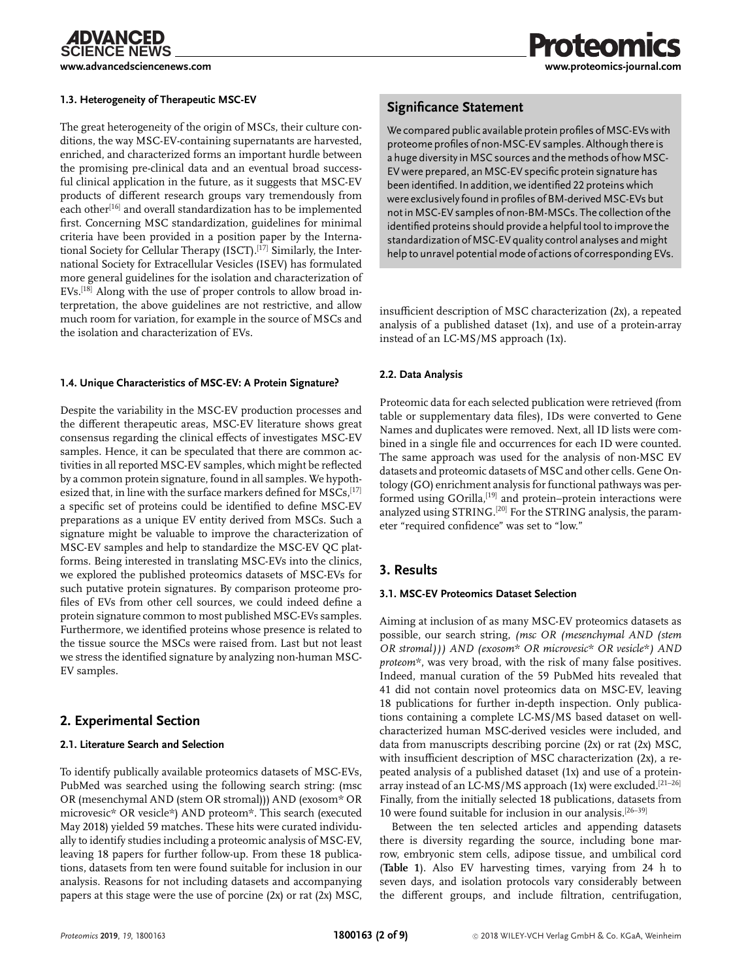**CIENCE NEWS** 

#### **1.3. Heterogeneity of Therapeutic MSC-EV**

The great heterogeneity of the origin of MSCs, their culture conditions, the way MSC-EV-containing supernatants are harvested, enriched, and characterized forms an important hurdle between the promising pre-clinical data and an eventual broad successful clinical application in the future, as it suggests that MSC-EV products of different research groups vary tremendously from each other<sup>[16]</sup> and overall standardization has to be implemented first. Concerning MSC standardization, guidelines for minimal criteria have been provided in a position paper by the International Society for Cellular Therapy (ISCT).<sup>[17]</sup> Similarly, the International Society for Extracellular Vesicles (ISEV) has formulated more general guidelines for the isolation and characterization of EVs.[18] Along with the use of proper controls to allow broad interpretation, the above guidelines are not restrictive, and allow much room for variation, for example in the source of MSCs and the isolation and characterization of EVs.

#### **1.4. Unique Characteristics of MSC-EV: A Protein Signature?**

Despite the variability in the MSC-EV production processes and the different therapeutic areas, MSC-EV literature shows great consensus regarding the clinical effects of investigates MSC-EV samples. Hence, it can be speculated that there are common activities in all reported MSC-EV samples, which might be reflected by a common protein signature, found in all samples. We hypothesized that, in line with the surface markers defined for  $MSCs$ ,  $^{[17]}$ a specific set of proteins could be identified to define MSC-EV preparations as a unique EV entity derived from MSCs. Such a signature might be valuable to improve the characterization of MSC-EV samples and help to standardize the MSC-EV QC platforms. Being interested in translating MSC-EVs into the clinics, we explored the published proteomics datasets of MSC-EVs for such putative protein signatures. By comparison proteome profiles of EVs from other cell sources, we could indeed define a protein signature common to most published MSC-EVs samples. Furthermore, we identified proteins whose presence is related to the tissue source the MSCs were raised from. Last but not least we stress the identified signature by analyzing non-human MSC-EV samples.

# **2. Experimental Section**

#### **2.1. Literature Search and Selection**

To identify publically available proteomics datasets of MSC-EVs, PubMed was searched using the following search string: (msc OR (mesenchymal AND (stem OR stromal))) AND (exosom\* OR microvesic\* OR vesicle\*) AND proteom\*. This search (executed May 2018) yielded 59 matches. These hits were curated individually to identify studies including a proteomic analysis of MSC-EV, leaving 18 papers for further follow-up. From these 18 publications, datasets from ten were found suitable for inclusion in our analysis. Reasons for not including datasets and accompanying papers at this stage were the use of porcine (2x) or rat (2x) MSC,

### **Significance Statement**

We compared public available protein profiles of MSC-EVs with proteome profiles of non-MSC-EV samples. Although there is a huge diversity in MSC sources and the methods of how MSC-EV were prepared, an MSC-EV specific protein signature has been identified. In addition, we identified 22 proteins which were exclusively found in profiles of BM-derived MSC-EVs but not in MSC-EV samples of non-BM-MSCs. The collection of the identified proteins should provide a helpful tool to improve the standardization of MSC-EV quality control analyses and might help to unravel potential mode of actions of corresponding EVs.

insufficient description of MSC characterization (2x), a repeated analysis of a published dataset (1x), and use of a protein-array instead of an LC-MS/MS approach (1x).

#### **2.2. Data Analysis**

Proteomic data for each selected publication were retrieved (from table or supplementary data files), IDs were converted to Gene Names and duplicates were removed. Next, all ID lists were combined in a single file and occurrences for each ID were counted. The same approach was used for the analysis of non-MSC EV datasets and proteomic datasets of MSC and other cells. Gene Ontology (GO) enrichment analysis for functional pathways was performed using GOrilla,<sup>[19]</sup> and protein–protein interactions were analyzed using STRING.[20] For the STRING analysis, the parameter "required confidence" was set to "low."

# **3. Results**

#### **3.1. MSC-EV Proteomics Dataset Selection**

Aiming at inclusion of as many MSC-EV proteomics datasets as possible, our search string, *(msc OR (mesenchymal AND (stem proteom\**, was very broad, with the risk of many false positives.<br>Indeed, manual curation of the 59 PubMed hits revealed that Indeed, manual curation of the 59 PubMed hits revealed that 41 did not contain novel proteomics data on MSC-EV, leaving 18 publications for further in-depth inspection. Only publications containing a complete LC-MS/MS based dataset on wellcharacterized human MSC-derived vesicles were included, and data from manuscripts describing porcine (2x) or rat (2x) MSC, with insufficient description of MSC characterization (2x), a repeated analysis of a published dataset (1x) and use of a proteinarray instead of an LC-MS/MS approach (1x) were excluded.<sup>[21-26]</sup> Finally, from the initially selected 18 publications, datasets from 10 were found suitable for inclusion in our analysis.<sup>[26–39]</sup>

Between the ten selected articles and appending datasets there is diversity regarding the source, including bone marrow, embryonic stem cells, adipose tissue, and umbilical cord (**Table 1**). Also EV harvesting times, varying from 24 h to seven days, and isolation protocols vary considerably between the different groups, and include filtration, centrifugation,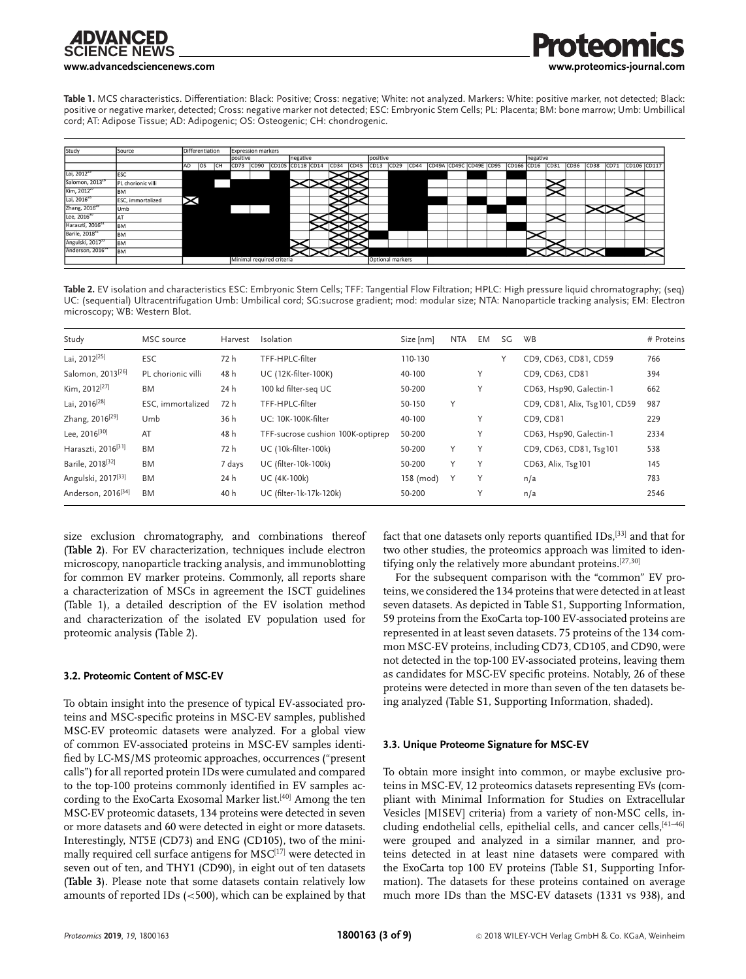**[www.advancedsciencenews.com](http://www.advancedsciencenews.com) [www.proteomics-journal.com](http://www.proteomics-journal.com)**

**Table 1.** MCS characteristics. Differentiation: Black: Positive; Cross: negative; White: not analyzed. Markers: White: positive marker, not detected; Black: positive or negative marker, detected; Cross: negative marker not detected; ESC: Embryonic Stem Cells; PL: Placenta; BM: bone marrow; Umb: Umbillical cord; AT: Adipose Tissue; AD: Adipogenic; OS: Osteogenic; CH: chondrogenic.



**Table 2.** EV isolation and characteristics ESC: Embryonic Stem Cells; TFF: Tangential Flow Filtration; HPLC: High pressure liquid chromatography; (seq) UC: (sequential) Ultracentrifugation Umb: Umbilical cord; SG:sucrose gradient; mod: modular size; NTA: Nanoparticle tracking analysis; EM: Electron microscopy; WB: Western Blot.

| Study                          | MSC source         | Harvest | Isolation                         | Size [nm] | NTA | EM. | SG | <b>WB</b>                     | # Proteins |
|--------------------------------|--------------------|---------|-----------------------------------|-----------|-----|-----|----|-------------------------------|------------|
| Lai, 2012 <sup>[25]</sup>      | <b>ESC</b>         | 72 h    | TFF-HPLC-filter                   | 110-130   |     |     |    | CD9, CD63, CD81, CD59         | 766        |
| Salomon, 2013 <sup>[26]</sup>  | PL chorionic villi | 48 h    | UC (12K-filter-100K)              | 40-100    |     | Y   |    | CD9, CD63, CD81               | 394        |
| Kim, 2012 <sup>[27]</sup>      | BM                 | 24 h    | 100 kd filter-seg UC              | 50-200    |     | Y   |    | CD63, Hsp90, Galectin-1       | 662        |
| Lai, 2016 <sup>[28]</sup>      | ESC. immortalized  | 72 h    | TFF-HPLC-filter                   | 50-150    | Y   |     |    | CD9, CD81, Alix, Tsg101, CD59 | 987        |
| Zhang, 2016 <sup>[29]</sup>    | Umb                | 36 h    | UC: 10K-100K-filter               | 40-100    |     | Y   |    | CD9, CD81                     | 229        |
| Lee, $2016^{[30]}$             | AT                 | 48 h    | TFF-sucrose cushion 100K-optiprep | 50-200    |     | Y   |    | CD63, Hsp90, Galectin-1       | 2334       |
| Haraszti, 2016 <sup>[31]</sup> | <b>BM</b>          | 72 h    | UC (10k-filter-100k)              | 50-200    | Y   | Υ   |    | CD9, CD63, CD81, Tsg101       | 538        |
| Barile, 2018 <sup>[32]</sup>   | BM                 | 7 days  | UC (filter-10k-100k)              | 50-200    | Y   | Υ   |    | CD63, Alix, Tsg101            | 145        |
| Angulski, 2017 <sup>[33]</sup> | BM                 | 24 h    | UC (4K-100k)                      | 158 (mod) | Y   | Υ   |    | n/a                           | 783        |
| Anderson, 2016 <sup>[34]</sup> | <b>BM</b>          | 40 h    | UC (filter-1k-17k-120k)           | 50-200    |     | Y   |    | n/a                           | 2546       |

size exclusion chromatography, and combinations thereof (**Table 2**). For EV characterization, techniques include electron microscopy, nanoparticle tracking analysis, and immunoblotting for common EV marker proteins. Commonly, all reports share a characterization of MSCs in agreement the ISCT guidelines (Table 1), a detailed description of the EV isolation method and characterization of the isolated EV population used for proteomic analysis (Table 2).

#### **3.2. Proteomic Content of MSC-EV**

To obtain insight into the presence of typical EV-associated proteins and MSC-specific proteins in MSC-EV samples, published MSC-EV proteomic datasets were analyzed. For a global view of common EV-associated proteins in MSC-EV samples identified by LC-MS/MS proteomic approaches, occurrences ("present calls") for all reported protein IDs were cumulated and compared to the top-100 proteins commonly identified in EV samples according to the ExoCarta Exosomal Marker list.[40] Among the ten MSC-EV proteomic datasets, 134 proteins were detected in seven or more datasets and 60 were detected in eight or more datasets. Interestingly, NT5E (CD73) and ENG (CD105), two of the minimally required cell surface antigens for  $MSC^{[17]}$  were detected in seven out of ten, and THY1 (CD90), in eight out of ten datasets (**Table 3**). Please note that some datasets contain relatively low amounts of reported IDs  $(<500$ ), which can be explained by that fact that one datasets only reports quantified IDs,[33] and that for two other studies, the proteomics approach was limited to identifying only the relatively more abundant proteins.[27,30]

For the subsequent comparison with the "common" EV proteins, we considered the 134 proteins that were detected in at least seven datasets. As depicted in Table S1, Supporting Information, 59 proteins from the ExoCarta top-100 EV-associated proteins are represented in at least seven datasets. 75 proteins of the 134 common MSC-EV proteins, including CD73, CD105, and CD90, were not detected in the top-100 EV-associated proteins, leaving them as candidates for MSC-EV specific proteins. Notably, 26 of these proteins were detected in more than seven of the ten datasets being analyzed (Table S1, Supporting Information, shaded).

#### **3.3. Unique Proteome Signature for MSC-EV**

To obtain more insight into common, or maybe exclusive proteins in MSC-EV, 12 proteomics datasets representing EVs (compliant with Minimal Information for Studies on Extracellular Vesicles [MISEV] criteria) from a variety of non-MSC cells, including endothelial cells, epithelial cells, and cancer cells, <a>[41-46]</a> were grouped and analyzed in a similar manner, and proteins detected in at least nine datasets were compared with the ExoCarta top 100 EV proteins (Table S1, Supporting Information). The datasets for these proteins contained on average much more IDs than the MSC-EV datasets (1331 vs 938), and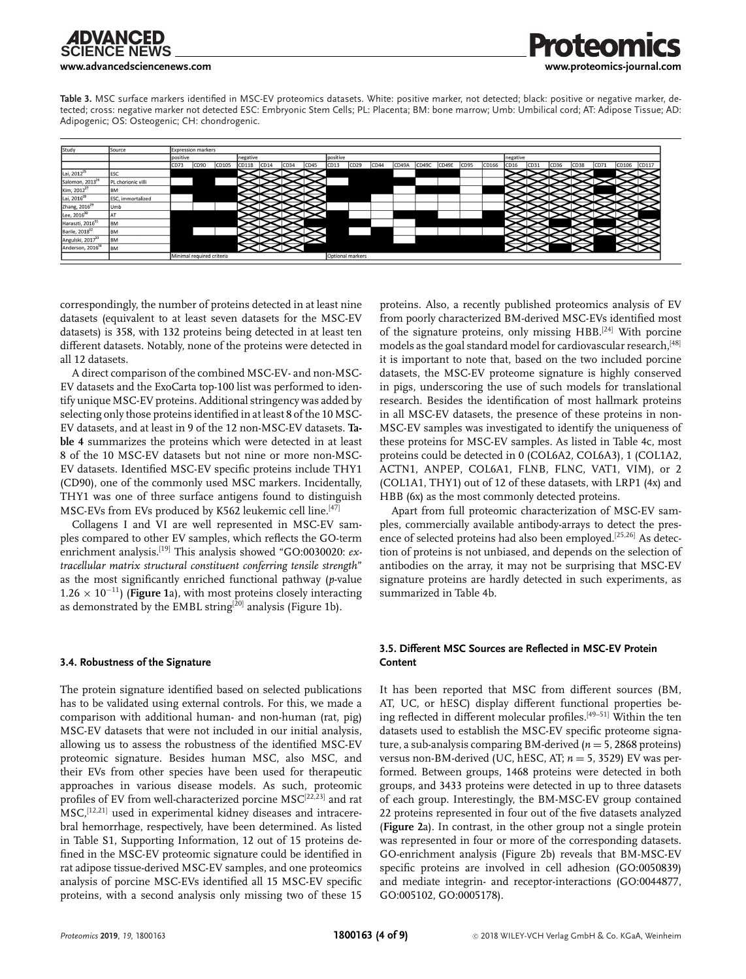**[www.advancedsciencenews.com](http://www.advancedsciencenews.com) [www.proteomics-journal.com](http://www.proteomics-journal.com)**

**Table 3.** MSC surface markers identified in MSC-EV proteomics datasets. White: positive marker, not detected; black: positive or negative marker, detected; cross: negative marker not detected ESC: Embryonic Stem Cells; PL: Placenta; BM: bone marrow; Umb: Umbilical cord; AT: Adipose Tissue; AD: Adipogenic; OS: Osteogenic; CH: chondrogenic.



correspondingly, the number of proteins detected in at least nine datasets (equivalent to at least seven datasets for the MSC-EV datasets) is 358, with 132 proteins being detected in at least ten different datasets. Notably, none of the proteins were detected in all 12 datasets.

A direct comparison of the combined MSC-EV- and non-MSC-EV datasets and the ExoCarta top-100 list was performed to identify unique MSC-EV proteins. Additional stringency was added by selecting only those proteins identified in at least 8 of the 10 MSC-EV datasets, and at least in 9 of the 12 non-MSC-EV datasets. **Table 4** summarizes the proteins which were detected in at least 8 of the 10 MSC-EV datasets but not nine or more non-MSC-EV datasets. Identified MSC-EV specific proteins include THY1 (CD90), one of the commonly used MSC markers. Incidentally, THY1 was one of three surface antigens found to distinguish MSC-EVs from EVs produced by K562 leukemic cell line.<sup>[47]</sup>

Collagens I and VI are well represented in MSC-EV samples compared to other EV samples, which reflects the GO-term enrichment analysis.[19] This analysis showed "GO:0030020: *extracellular matrix structural constituent conferring tensile strength*" as the most significantly enriched functional pathway (*p*-value  $1.26 \times 10^{-11}$ ) (**Figure 1**a), with most proteins closely interacting as demonstrated by the EMBL string<sup>[20]</sup> analysis (Figure 1b).

#### **3.4. Robustness of the Signature**

The protein signature identified based on selected publications has to be validated using external controls. For this, we made a comparison with additional human- and non-human (rat, pig) MSC-EV datasets that were not included in our initial analysis, allowing us to assess the robustness of the identified MSC-EV proteomic signature. Besides human MSC, also MSC, and their EVs from other species have been used for therapeutic approaches in various disease models. As such, proteomic profiles of EV from well-characterized porcine MSC[22,23] and rat MSC,[12,21] used in experimental kidney diseases and intracerebral hemorrhage, respectively, have been determined. As listed in Table S1, Supporting Information, 12 out of 15 proteins defined in the MSC-EV proteomic signature could be identified in rat adipose tissue-derived MSC-EV samples, and one proteomics analysis of porcine MSC-EVs identified all 15 MSC-EV specific proteins, with a second analysis only missing two of these 15

proteins. Also, a recently published proteomics analysis of EV from poorly characterized BM-derived MSC-EVs identified most of the signature proteins, only missing HBB.[24] With porcine models as the goal standard model for cardiovascular research, [48] it is important to note that, based on the two included porcine datasets, the MSC-EV proteome signature is highly conserved in pigs, underscoring the use of such models for translational research. Besides the identification of most hallmark proteins in all MSC-EV datasets, the presence of these proteins in non-MSC-EV samples was investigated to identify the uniqueness of these proteins for MSC-EV samples. As listed in Table 4c, most proteins could be detected in 0 (COL6A2, COL6A3), 1 (COL1A2, ACTN1, ANPEP, COL6A1, FLNB, FLNC, VAT1, VIM), or 2 (COL1A1, THY1) out of 12 of these datasets, with LRP1 (4x) and HBB (6x) as the most commonly detected proteins.

Apart from full proteomic characterization of MSC-EV samples, commercially available antibody-arrays to detect the presence of selected proteins had also been employed.<sup>[25,26]</sup> As detection of proteins is not unbiased, and depends on the selection of antibodies on the array, it may not be surprising that MSC-EV signature proteins are hardly detected in such experiments, as summarized in Table 4b.

#### **3.5. Different MSC Sources are Reflected in MSC-EV Protein Content**

It has been reported that MSC from different sources (BM, AT, UC, or hESC) display different functional properties being reflected in different molecular profiles.[49–51] Within the ten datasets used to establish the MSC-EV specific proteome signature, a sub-analysis comparing BM-derived  $(n = 5, 2868)$  proteins) versus non-BM-derived (UC, hESC, AT; *n* <sup>=</sup> 5, 3529) EV was performed. Between groups, 1468 proteins were detected in both groups, and 3433 proteins were detected in up to three datasets of each group. Interestingly, the BM-MSC-EV group contained 22 proteins represented in four out of the five datasets analyzed (**Figure 2**a). In contrast, in the other group not a single protein was represented in four or more of the corresponding datasets. GO-enrichment analysis (Figure 2b) reveals that BM-MSC-EV specific proteins are involved in cell adhesion (GO:0050839) and mediate integrin- and receptor-interactions (GO:0044877, GO:005102, GO:0005178).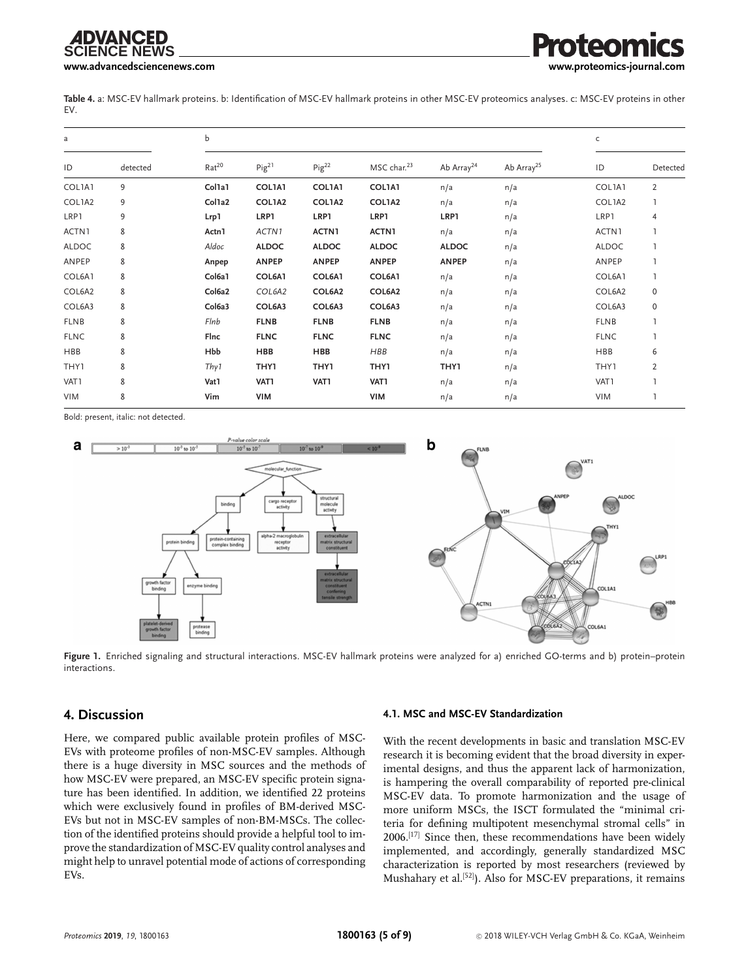# **CIFNCF NFWS**

**[www.advancedsciencenews.com](http://www.advancedsciencenews.com) [www.proteomics-journal.com](http://www.proteomics-journal.com)**

**Table 4.** a: MSC-EV hallmark proteins. b: Identification of MSC-EV hallmark proteins in other MSC-EV proteomics analyses. c: MSC-EV proteins in other EV.

| a            |          | b                 |              |               |                         |                        |                        |              | C              |  |
|--------------|----------|-------------------|--------------|---------------|-------------------------|------------------------|------------------------|--------------|----------------|--|
| ID           | detected | Rat <sup>20</sup> | $Pig^{21}$   | $Pig^{22}$    | MSC char. <sup>23</sup> | Ab Array <sup>24</sup> | Ab Array <sup>25</sup> | ID           | Detected       |  |
| COL1A1       | 9        | Col1a1            | COL1A1       | <b>COL1A1</b> | <b>COL1A1</b>           | n/a                    | n/a                    | COL1A1       | $\overline{2}$ |  |
| COL1A2       | 9        | Col1a2            | COL1A2       | COL1A2        | COL1A2                  | n/a                    | n/a                    | COL1A2       |                |  |
| LRP1         | 9        | Lrp1              | LRP1         | LRP1          | LRP1                    | LRP1                   | n/a                    | LRP1         | 4              |  |
| ACTN1        | 8        | Actn1             | ACTN1        | ACTN1         | ACTN1                   | n/a                    | n/a                    | ACTN1        |                |  |
| <b>ALDOC</b> | 8        | Aldoc             | <b>ALDOC</b> | <b>ALDOC</b>  | <b>ALDOC</b>            | <b>ALDOC</b>           | n/a                    | <b>ALDOC</b> |                |  |
| ANPEP        | 8        | Anpep             | <b>ANPEP</b> | <b>ANPEP</b>  | <b>ANPEP</b>            | <b>ANPEP</b>           | n/a                    | ANPEP        |                |  |
| COL6A1       | 8        | Col6a1            | COL6A1       | COL6A1        | COL6A1                  | n/a                    | n/a                    | COL6A1       |                |  |
| COL6A2       | 8        | Col6a2            | COL6A2       | COL6A2        | COL6A2                  | n/a                    | n/a                    | COL6A2       | 0              |  |
| COL6A3       | 8        | Col6a3            | COL6A3       | COL6A3        | COL6A3                  | n/a                    | n/a                    | COL6A3       | 0              |  |
| <b>FLNB</b>  | 8        | Flnb              | <b>FLNB</b>  | <b>FLNB</b>   | <b>FLNB</b>             | n/a                    | n/a                    | <b>FLNB</b>  |                |  |
| <b>FLNC</b>  | 8        | Flnc              | <b>FLNC</b>  | <b>FLNC</b>   | <b>FLNC</b>             | n/a                    | n/a                    | <b>FLNC</b>  | L              |  |
| <b>HBB</b>   | 8        | Hbb               | <b>HBB</b>   | <b>HBB</b>    | HBB                     | n/a                    | n/a                    | <b>HBB</b>   | 6              |  |
| THY1         | 8        | Thy 1             | THY1         | <b>THY1</b>   | THY1                    | THY1                   | n/a                    | THY1         | $\overline{2}$ |  |
| VAT1         | 8        | Vat1              | VAT1         | VAT1          | VAT1                    | n/a                    | n/a                    | VAT1         |                |  |
| <b>VIM</b>   | 8        | Vim               | <b>VIM</b>   |               | <b>VIM</b>              | n/a                    | n/a                    | VIM          |                |  |

Bold: present, italic: not detected.



**Figure 1.** Enriched signaling and structural interactions. MSC-EV hallmark proteins were analyzed for a) enriched GO-terms and b) protein–protein interactions.

# **4. Discussion**

Here, we compared public available protein profiles of MSC-EVs with proteome profiles of non-MSC-EV samples. Although there is a huge diversity in MSC sources and the methods of how MSC-EV were prepared, an MSC-EV specific protein signature has been identified. In addition, we identified 22 proteins which were exclusively found in profiles of BM-derived MSC-EVs but not in MSC-EV samples of non-BM-MSCs. The collection of the identified proteins should provide a helpful tool to improve the standardization of MSC-EV quality control analyses and might help to unravel potential mode of actions of corresponding EVs.

#### **4.1. MSC and MSC-EV Standardization**

With the recent developments in basic and translation MSC-EV research it is becoming evident that the broad diversity in experimental designs, and thus the apparent lack of harmonization, is hampering the overall comparability of reported pre-clinical MSC-EV data. To promote harmonization and the usage of more uniform MSCs, the ISCT formulated the "minimal criteria for defining multipotent mesenchymal stromal cells" in 2006.[17] Since then, these recommendations have been widely implemented, and accordingly, generally standardized MSC characterization is reported by most researchers (reviewed by Mushahary et al.[52]). Also for MSC-EV preparations, it remains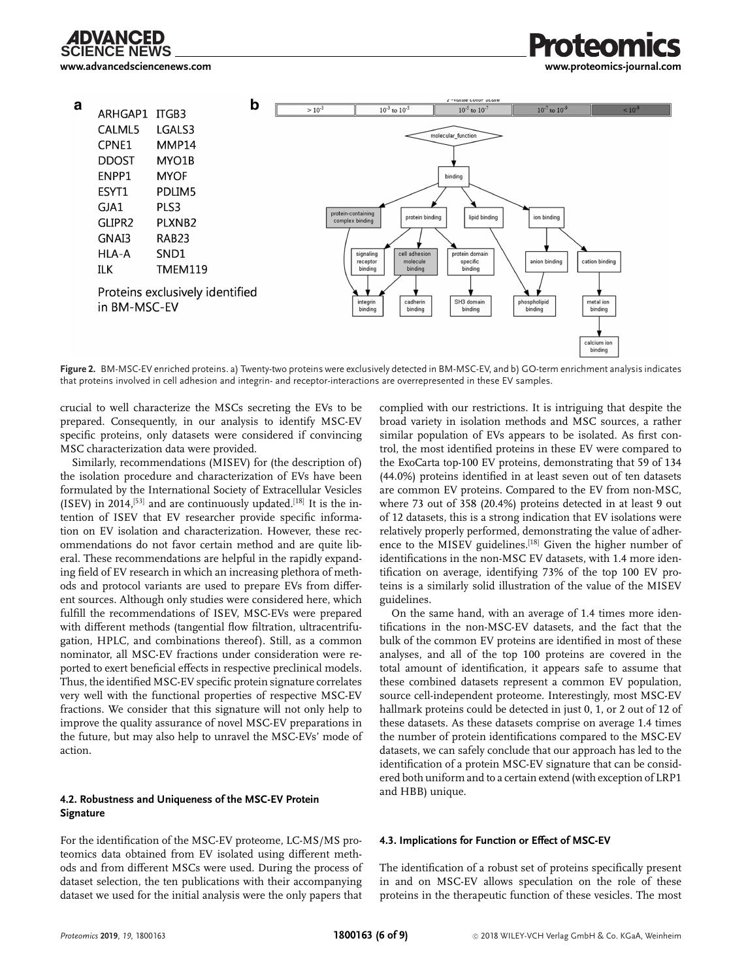

**[www.advancedsciencenews.com](http://www.advancedsciencenews.com) [www.proteomics-journal.com](http://www.proteomics-journal.com)**



**Figure 2.** BM-MSC-EV enriched proteins. a) Twenty-two proteins were exclusively detected in BM-MSC-EV, and b) GO-term enrichment analysis indicates that proteins involved in cell adhesion and integrin- and receptor-interactions are overrepresented in these EV samples.

crucial to well characterize the MSCs secreting the EVs to be prepared. Consequently, in our analysis to identify MSC-EV specific proteins, only datasets were considered if convincing MSC characterization data were provided.

Similarly, recommendations (MISEV) for (the description of ) the isolation procedure and characterization of EVs have been formulated by the International Society of Extracellular Vesicles (ISEV) in 2014,<sup>[53]</sup> and are continuously updated.<sup>[18]</sup> It is the intention of ISEV that EV researcher provide specific information on EV isolation and characterization. However, these recommendations do not favor certain method and are quite liberal. These recommendations are helpful in the rapidly expanding field of EV research in which an increasing plethora of methods and protocol variants are used to prepare EVs from different sources. Although only studies were considered here, which fulfill the recommendations of ISEV, MSC-EVs were prepared with different methods (tangential flow filtration, ultracentrifugation, HPLC, and combinations thereof). Still, as a common nominator, all MSC-EV fractions under consideration were reported to exert beneficial effects in respective preclinical models. Thus, the identified MSC-EV specific protein signature correlates very well with the functional properties of respective MSC-EV fractions. We consider that this signature will not only help to improve the quality assurance of novel MSC-EV preparations in the future, but may also help to unravel the MSC-EVs' mode of action.

#### **4.2. Robustness and Uniqueness of the MSC-EV Protein Signature**

For the identification of the MSC-EV proteome, LC-MS/MS proteomics data obtained from EV isolated using different methods and from different MSCs were used. During the process of dataset selection, the ten publications with their accompanying dataset we used for the initial analysis were the only papers that

complied with our restrictions. It is intriguing that despite the broad variety in isolation methods and MSC sources, a rather similar population of EVs appears to be isolated. As first control, the most identified proteins in these EV were compared to the ExoCarta top-100 EV proteins, demonstrating that 59 of 134 (44.0%) proteins identified in at least seven out of ten datasets are common EV proteins. Compared to the EV from non-MSC, where 73 out of 358 (20.4%) proteins detected in at least 9 out of 12 datasets, this is a strong indication that EV isolations were relatively properly performed, demonstrating the value of adherence to the MISEV guidelines.<sup>[18]</sup> Given the higher number of identifications in the non-MSC EV datasets, with 1.4 more identification on average, identifying 73% of the top 100 EV proteins is a similarly solid illustration of the value of the MISEV guidelines.

On the same hand, with an average of 1.4 times more identifications in the non-MSC-EV datasets, and the fact that the bulk of the common EV proteins are identified in most of these analyses, and all of the top 100 proteins are covered in the total amount of identification, it appears safe to assume that these combined datasets represent a common EV population, source cell-independent proteome. Interestingly, most MSC-EV hallmark proteins could be detected in just 0, 1, or 2 out of 12 of these datasets. As these datasets comprise on average 1.4 times the number of protein identifications compared to the MSC-EV datasets, we can safely conclude that our approach has led to the identification of a protein MSC-EV signature that can be considered both uniform and to a certain extend (with exception of LRP1 and HBB) unique.

#### **4.3. Implications for Function or Effect of MSC-EV**

The identification of a robust set of proteins specifically present in and on MSC-EV allows speculation on the role of these proteins in the therapeutic function of these vesicles. The most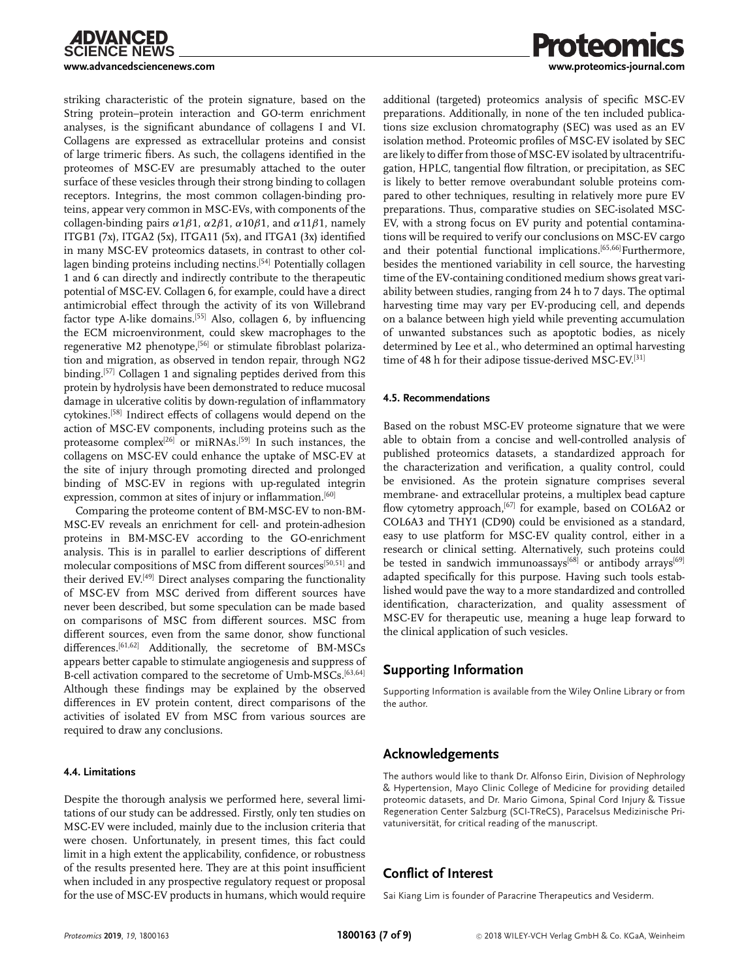striking characteristic of the protein signature, based on the String protein–protein interaction and GO-term enrichment analyses, is the significant abundance of collagens I and VI. Collagens are expressed as extracellular proteins and consist of large trimeric fibers. As such, the collagens identified in the proteomes of MSC-EV are presumably attached to the outer surface of these vesicles through their strong binding to collagen receptors. Integrins, the most common collagen-binding proteins, appear very common in MSC-EVs, with components of the collagen-binding pairs  $\alpha$ 1 $\beta$ 1,  $\alpha$ 2 $\beta$ 1,  $\alpha$ 10 $\beta$ 1, and  $\alpha$ 11 $\beta$ 1, namely ITGB1 (7x), ITGA2 (5x), ITGA11 (5x), and ITGA1 (3x) identified in many MSC-EV proteomics datasets, in contrast to other collagen binding proteins including nectins.<sup>[54]</sup> Potentially collagen 1 and 6 can directly and indirectly contribute to the therapeutic potential of MSC-EV. Collagen 6, for example, could have a direct antimicrobial effect through the activity of its von Willebrand factor type A-like domains.<sup>[55]</sup> Also, collagen 6, by influencing the ECM microenvironment, could skew macrophages to the regenerative M2 phenotype,<sup>[56]</sup> or stimulate fibroblast polarization and migration, as observed in tendon repair, through NG2 binding.<sup>[57]</sup> Collagen 1 and signaling peptides derived from this protein by hydrolysis have been demonstrated to reduce mucosal damage in ulcerative colitis by down-regulation of inflammatory cytokines.[58] Indirect effects of collagens would depend on the action of MSC-EV components, including proteins such as the proteasome complex<sup>[26]</sup> or miRNAs.<sup>[59]</sup> In such instances, the collagens on MSC-EV could enhance the uptake of MSC-EV at the site of injury through promoting directed and prolonged binding of MSC-EV in regions with up-regulated integrin expression, common at sites of injury or inflammation.<sup>[60]</sup>

Comparing the proteome content of BM-MSC-EV to non-BM-MSC-EV reveals an enrichment for cell- and protein-adhesion proteins in BM-MSC-EV according to the GO-enrichment analysis. This is in parallel to earlier descriptions of different molecular compositions of MSC from different sources<sup>[50,51]</sup> and their derived EV.[49] Direct analyses comparing the functionality of MSC-EV from MSC derived from different sources have never been described, but some speculation can be made based on comparisons of MSC from different sources. MSC from different sources, even from the same donor, show functional differences.[61,62] Additionally, the secretome of BM-MSCs appears better capable to stimulate angiogenesis and suppress of B-cell activation compared to the secretome of Umb-MSCs.<sup>[63,64]</sup> Although these findings may be explained by the observed differences in EV protein content, direct comparisons of the activities of isolated EV from MSC from various sources are required to draw any conclusions.

#### **4.4. Limitations**

Despite the thorough analysis we performed here, several limitations of our study can be addressed. Firstly, only ten studies on MSC-EV were included, mainly due to the inclusion criteria that were chosen. Unfortunately, in present times, this fact could limit in a high extent the applicability, confidence, or robustness of the results presented here. They are at this point insufficient when included in any prospective regulatory request or proposal for the use of MSC-EV products in humans, which would require



additional (targeted) proteomics analysis of specific MSC-EV preparations. Additionally, in none of the ten included publications size exclusion chromatography (SEC) was used as an EV isolation method. Proteomic profiles of MSC-EV isolated by SEC are likely to differ from those of MSC-EV isolated by ultracentrifugation, HPLC, tangential flow filtration, or precipitation, as SEC is likely to better remove overabundant soluble proteins compared to other techniques, resulting in relatively more pure EV preparations. Thus, comparative studies on SEC-isolated MSC-EV, with a strong focus on EV purity and potential contaminations will be required to verify our conclusions on MSC-EV cargo and their potential functional implications.<sup>[65,66]</sup>Furthermore, besides the mentioned variability in cell source, the harvesting time of the EV-containing conditioned medium shows great variability between studies, ranging from 24 h to 7 days. The optimal harvesting time may vary per EV-producing cell, and depends on a balance between high yield while preventing accumulation of unwanted substances such as apoptotic bodies, as nicely determined by Lee et al., who determined an optimal harvesting time of 48 h for their adipose tissue-derived MSC-EV.<sup>[31]</sup>

#### **4.5. Recommendations**

Based on the robust MSC-EV proteome signature that we were able to obtain from a concise and well-controlled analysis of published proteomics datasets, a standardized approach for the characterization and verification, a quality control, could be envisioned. As the protein signature comprises several membrane- and extracellular proteins, a multiplex bead capture flow cytometry approach,<sup>[67]</sup> for example, based on COL6A2 or COL6A3 and THY1 (CD90) could be envisioned as a standard, easy to use platform for MSC-EV quality control, either in a research or clinical setting. Alternatively, such proteins could be tested in sandwich immunoassays<sup>[68]</sup> or antibody arrays<sup>[69]</sup> adapted specifically for this purpose. Having such tools established would pave the way to a more standardized and controlled identification, characterization, and quality assessment of MSC-EV for therapeutic use, meaning a huge leap forward to the clinical application of such vesicles.

# **Supporting Information**

Supporting Information is available from the Wiley Online Library or from the author.

# **Acknowledgements**

The authors would like to thank Dr. Alfonso Eirin, Division of Nephrology & Hypertension, Mayo Clinic College of Medicine for providing detailed proteomic datasets, and Dr. Mario Gimona, Spinal Cord Injury & Tissue Regeneration Center Salzburg (SCI-TReCS), Paracelsus Medizinische Privatuniversität, for critical reading of the manuscript.

# **Conflict of Interest**

Sai Kiang Lim is founder of Paracrine Therapeutics and Vesiderm.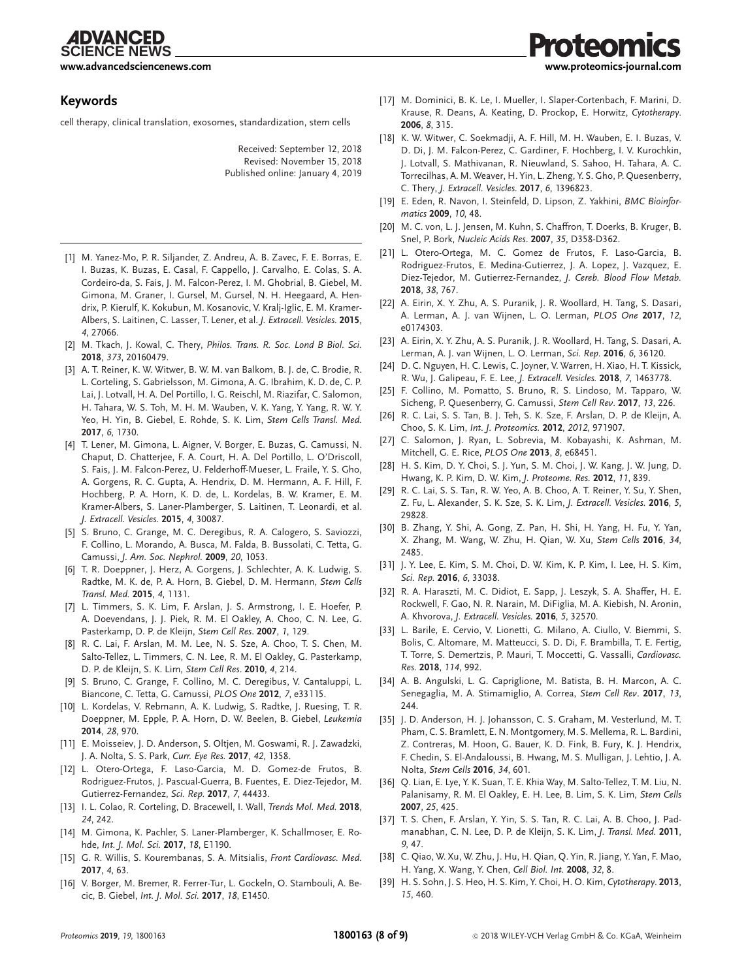**SCIENCE NEWS** 

**[www.advancedsciencenews.com](http://www.advancedsciencenews.com) [www.proteomics-journal.com](http://www.proteomics-journal.com)**

# **Keywords**

cell therapy, clinical translation, exosomes, standardization, stem cells

Received: September 12, 2018 Revised: November 15, 2018 Published online: January 4, 2019

- [1] M. Yanez-Mo, P. R. Siljander, Z. Andreu, A. B. Zavec, F. E. Borras, E. I. Buzas, K. Buzas, E. Casal, F. Cappello, J. Carvalho, E. Colas, S. A. Cordeiro-da, S. Fais, J. M. Falcon-Perez, I. M. Ghobrial, B. Giebel, M. Gimona, M. Graner, I. Gursel, M. Gursel, N. H. Heegaard, A. Hendrix, P. Kierulf, K. Kokubun, M. Kosanovic, V. Kralj-Iglic, E. M. Kramer-Albers, S. Laitinen, C. Lasser, T. Lener, et al. *J. Extracell. Vesicles.* **2015**, *4*, 27066.
- [2] M. Tkach, J. Kowal, C. Thery, *Philos. Trans. R. Soc. Lond B Biol. Sci.* **2018**, *373*, 20160479.
- [3] A. T. Reiner, K. W. Witwer, B. W. M. van Balkom, B. J. de, C. Brodie, R. L. Corteling, S. Gabrielsson, M. Gimona, A. G. Ibrahim, K. D. de, C. P. Lai, J. Lotvall, H. A. Del Portillo, I. G. Reischl, M. Riazifar, C. Salomon, H. Tahara, W. S. Toh, M. H. M. Wauben, V. K. Yang, Y. Yang, R. W. Y. Yeo, H. Yin, B. Giebel, E. Rohde, S. K. Lim, *Stem Cells Transl. Med.* **2017**, *6*, 1730.
- [4] T. Lener, M. Gimona, L. Aigner, V. Borger, E. Buzas, G. Camussi, N. Chaput, D. Chatterjee, F. A. Court, H. A. Del Portillo, L. O'Driscoll, S. Fais, J. M. Falcon-Perez, U. Felderhoff-Mueser, L. Fraile, Y. S. Gho, A. Gorgens, R. C. Gupta, A. Hendrix, D. M. Hermann, A. F. Hill, F. Hochberg, P. A. Horn, K. D. de, L. Kordelas, B. W. Kramer, E. M. Kramer-Albers, S. Laner-Plamberger, S. Laitinen, T. Leonardi, et al. *J. Extracell. Vesicles.* **2015**, *4*, 30087.
- [5] S. Bruno, C. Grange, M. C. Deregibus, R. A. Calogero, S. Saviozzi, F. Collino, L. Morando, A. Busca, M. Falda, B. Bussolati, C. Tetta, G. Camussi, *J. Am. Soc. Nephrol.* **2009**, *20*, 1053.
- [6] T. R. Doeppner, J. Herz, A. Gorgens, J. Schlechter, A. K. Ludwig, S. Radtke, M. K. de, P. A. Horn, B. Giebel, D. M. Hermann, *Stem Cells Transl. Med.* **2015**, *4*, 1131.
- [7] L. Timmers, S. K. Lim, F. Arslan, J. S. Armstrong, I. E. Hoefer, P. A. Doevendans, J. J. Piek, R. M. El Oakley, A. Choo, C. N. Lee, G. Pasterkamp, D. P. de Kleijn, *Stem Cell Res*. **2007**, *1*, 129.
- [8] R. C. Lai, F. Arslan, M. M. Lee, N. S. Sze, A. Choo, T. S. Chen, M. Salto-Tellez, L. Timmers, C. N. Lee, R. M. El Oakley, G. Pasterkamp, D. P. de Kleijn, S. K. Lim, *Stem Cell Res*. **2010**, *4*, 214.
- [9] S. Bruno, C. Grange, F. Collino, M. C. Deregibus, V. Cantaluppi, L. Biancone, C. Tetta, G. Camussi, *PLOS One* **2012**, *7*, e33115.
- [10] L. Kordelas, V. Rebmann, A. K. Ludwig, S. Radtke, J. Ruesing, T. R. Doeppner, M. Epple, P. A. Horn, D. W. Beelen, B. Giebel, *Leukemia* **2014**, *28*, 970.
- [11] E. Moisseiev, J. D. Anderson, S. Oltjen, M. Goswami, R. J. Zawadzki, J. A. Nolta, S. S. Park, *Curr. Eye Res.* **2017**, *42*, 1358.
- [12] L. Otero-Ortega, F. Laso-Garcia, M. D. Gomez-de Frutos, B. Rodriguez-Frutos, J. Pascual-Guerra, B. Fuentes, E. Diez-Tejedor, M. Gutierrez-Fernandez, *Sci. Rep.* **2017**, *7*, 44433.
- [13] I. L. Colao, R. Corteling, D. Bracewell, I. Wall, *Trends Mol. Med.* **2018**, *24*, 242.
- [14] M. Gimona, K. Pachler, S. Laner-Plamberger, K. Schallmoser, E. Rohde, *Int. J. Mol. Sci.* **2017**, *18*, E1190.
- [15] G. R. Willis, S. Kourembanas, S. A. Mitsialis, *Front Cardiovasc. Med.* **2017**, *4*, 63.
- [16] V. Borger, M. Bremer, R. Ferrer-Tur, L. Gockeln, O. Stambouli, A. Becic, B. Giebel, *Int. J. Mol. Sci.* **2017**, *18*, E1450.

[17] M. Dominici, B. K. Le, I. Mueller, I. Slaper-Cortenbach, F. Marini, D. Krause, R. Deans, A. Keating, D. Prockop, E. Horwitz, *Cytotherapy*. **2006**, *8*, 315.

iteomics

- [18] K. W. Witwer, C. Soekmadji, A. F. Hill, M. H. Wauben, E. I. Buzas, V. D. Di, J. M. Falcon-Perez, C. Gardiner, F. Hochberg, I. V. Kurochkin, J. Lotvall, S. Mathivanan, R. Nieuwland, S. Sahoo, H. Tahara, A. C. Torrecilhas, A. M. Weaver, H. Yin, L. Zheng, Y. S. Gho, P. Quesenberry, C. Thery, *J. Extracell. Vesicles.* **2017**, *6*, 1396823.
- [19] E. Eden, R. Navon, I. Steinfeld, D. Lipson, Z. Yakhini, *BMC Bioinformatics* **2009**, *10*, 48.
- [20] M. C. von, L. J. Jensen, M. Kuhn, S. Chaffron, T. Doerks, B. Kruger, B. Snel, P. Bork, *Nucleic Acids Res*. **2007**, *35*, D358-D362.
- [21] L. Otero-Ortega, M. C. Gomez de Frutos, F. Laso-Garcia, B. Rodriguez-Frutos, E. Medina-Gutierrez, J. A. Lopez, J. Vazquez, E. Diez-Tejedor, M. Gutierrez-Fernandez, *J. Cereb. Blood Flow Metab.* **2018**, *38*, 767.
- [22] A. Eirin, X. Y. Zhu, A. S. Puranik, J. R. Woollard, H. Tang, S. Dasari, A. Lerman, A. J. van Wijnen, L. O. Lerman, *PLOS One* **2017**, *12*, e0174303.
- [23] A. Eirin, X. Y. Zhu, A. S. Puranik, J. R. Woollard, H. Tang, S. Dasari, A. Lerman, A. J. van Wijnen, L. O. Lerman, *Sci. Rep.* **2016**, *6*, 36120.
- [24] D. C. Nguyen, H. C. Lewis, C. Joyner, V. Warren, H. Xiao, H. T. Kissick, R. Wu, J. Galipeau, F. E. Lee, *J. Extracell. Vesicles.* **2018**, *7*, 1463778.
- [25] F. Collino, M. Pomatto, S. Bruno, R. S. Lindoso, M. Tapparo, W. Sicheng, P. Quesenberry, G. Camussi, *Stem Cell Rev*. **2017**, *13*, 226.
- [26] R. C. Lai, S. S. Tan, B. J. Teh, S. K. Sze, F. Arslan, D. P. de Kleijn, A. Choo, S. K. Lim, *Int. J. Proteomics.* **2012**, *2012*, 971907.
- [27] C. Salomon, J. Ryan, L. Sobrevia, M. Kobayashi, K. Ashman, M. Mitchell, G. E. Rice, *PLOS One* **2013**, *8*, e68451.
- [28] H. S. Kim, D. Y. Choi, S. J. Yun, S. M. Choi, J. W. Kang, J. W. Jung, D. Hwang, K. P. Kim, D. W. Kim, *J. Proteome. Res.* **2012**, *11*, 839.
- [29] R. C. Lai, S. S. Tan, R. W. Yeo, A. B. Choo, A. T. Reiner, Y. Su, Y. Shen, Z. Fu, L. Alexander, S. K. Sze, S. K. Lim, *J. Extracell. Vesicles.* **2016**, *5*, 29828.
- [30] B. Zhang, Y. Shi, A. Gong, Z. Pan, H. Shi, H. Yang, H. Fu, Y. Yan, X. Zhang, M. Wang, W. Zhu, H. Qian, W. Xu, *Stem Cells* **2016**, *34*, 2485.
- [31] J. Y. Lee, E. Kim, S. M. Choi, D. W. Kim, K. P. Kim, I. Lee, H. S. Kim, *Sci. Rep.* **2016**, *6*, 33038.
- [32] R. A. Haraszti, M. C. Didiot, E. Sapp, J. Leszyk, S. A. Shaffer, H. E. Rockwell, F. Gao, N. R. Narain, M. DiFiglia, M. A. Kiebish, N. Aronin, A. Khvorova, *J. Extracell. Vesicles.* **2016**, *5*, 32570.
- [33] L. Barile, E. Cervio, V. Lionetti, G. Milano, A. Ciullo, V. Biemmi, S. Bolis, C. Altomare, M. Matteucci, S. D. Di, F. Brambilla, T. E. Fertig, T. Torre, S. Demertzis, P. Mauri, T. Moccetti, G. Vassalli, *Cardiovasc. Res.* **2018**, *114*, 992.
- [34] A. B. Angulski, L. G. Capriglione, M. Batista, B. H. Marcon, A. C. Senegaglia, M. A. Stimamiglio, A. Correa, *Stem Cell Rev*. **2017**, *13*, 244.
- [35] J. D. Anderson, H. J. Johansson, C. S. Graham, M. Vesterlund, M. T. Pham, C. S. Bramlett, E. N. Montgomery, M. S. Mellema, R. L. Bardini, Z. Contreras, M. Hoon, G. Bauer, K. D. Fink, B. Fury, K. J. Hendrix, F. Chedin, S. El-Andaloussi, B. Hwang, M. S. Mulligan, J. Lehtio, J. A. Nolta, *Stem Cells* **2016**, *34*, 601.
- [36] Q. Lian, E. Lye, Y. K. Suan, T. E. Khia Way, M. Salto-Tellez, T. M. Liu, N. Palanisamy, R. M. El Oakley, E. H. Lee, B. Lim, S. K. Lim, *Stem Cells* **2007**, *25*, 425.
- [37] T. S. Chen, F. Arslan, Y. Yin, S. S. Tan, R. C. Lai, A. B. Choo, J. Padmanabhan, C. N. Lee, D. P. de Kleijn, S. K. Lim, *J. Transl. Med.* **2011**, *9*, 47.
- [38] C. Qiao, W. Xu, W. Zhu, J. Hu, H. Qian, Q. Yin, R. Jiang, Y. Yan, F. Mao, H. Yang, X. Wang, Y. Chen, *Cell Biol. Int.* **2008**, *32*, 8.
- [39] H. S. Sohn, J. S. Heo, H. S. Kim, Y. Choi, H. O. Kim, *Cytotherapy*. **2013**, *15*, 460.